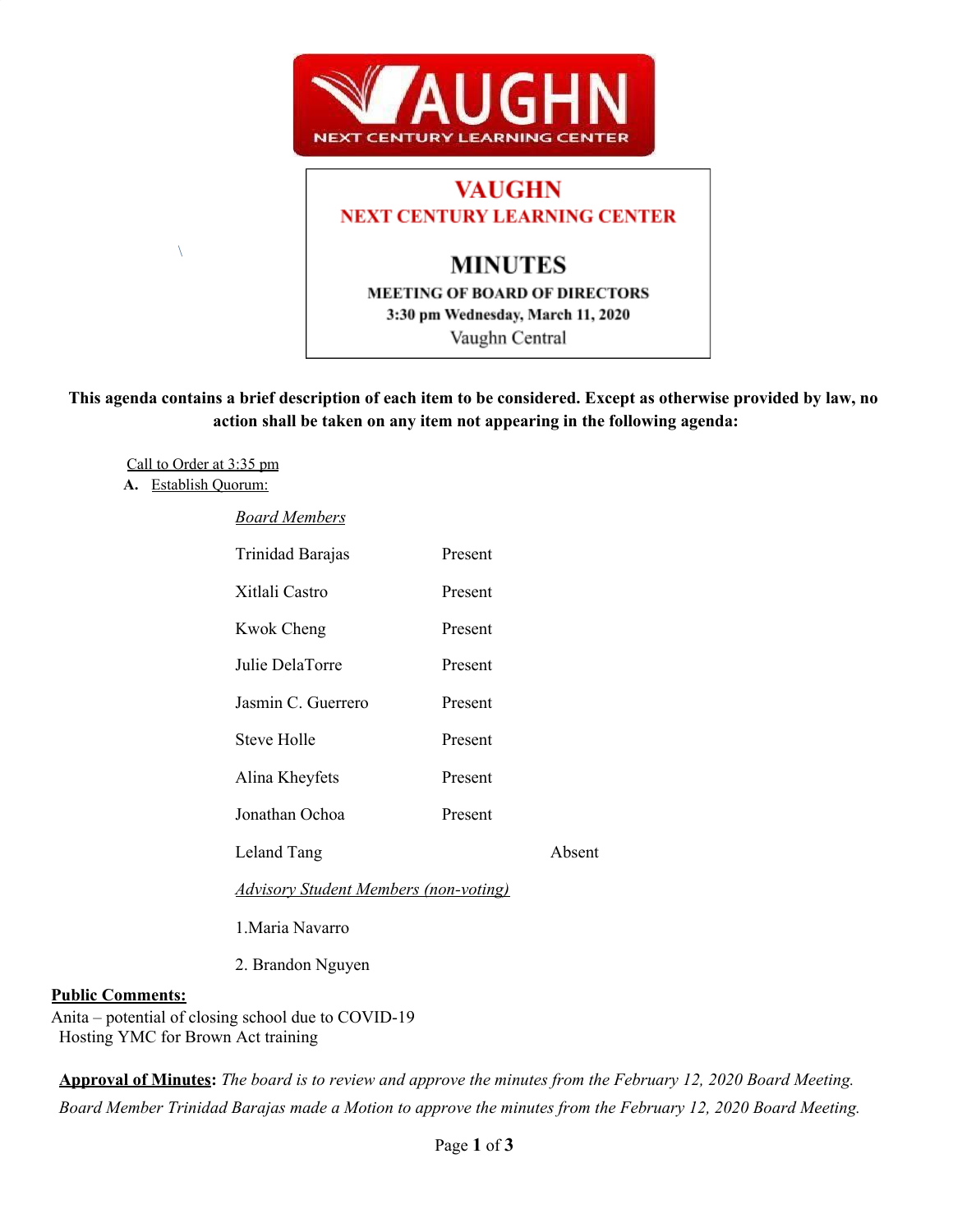

# **VAUGHN NEXT CENTURY LEARNING CENTER MINUTES MEETING OF BOARD OF DIRECTORS**

3:30 pm Wednesday, March 11, 2020

Vaughn Central

This agenda contains a brief description of each item to be considered. Except as otherwise provided by law, no **action shall be taken on any item not appearing in the following agenda:**

Call to Order at 3:35 pm

**A.** Establish Quorum:

 $\setminus$ 

*Board Members*

| Trinidad Barajas                             | Present |        |  |
|----------------------------------------------|---------|--------|--|
| Xitlali Castro                               | Present |        |  |
| Kwok Cheng                                   | Present |        |  |
| Julie DelaTorre                              | Present |        |  |
| Jasmin C. Guerrero                           | Present |        |  |
| <b>Steve Holle</b>                           | Present |        |  |
| Alina Kheyfets                               | Present |        |  |
| Jonathan Ochoa                               | Present |        |  |
| Leland Tang                                  |         | Absent |  |
| <b>Advisory Student Members (non-voting)</b> |         |        |  |
|                                              |         |        |  |

1.Maria Navarro

2. Brandon Nguyen

### **Public Comments:**

Anita – potential of closing school due to COVID-19 Hosting YMC for Brown Act training

Approval of Minutes: The board is to review and approve the minutes from the February 12, 2020 Board Meeting. Board Member Trinidad Barajas made a Motion to approve the minutes from the February 12, 2020 Board Meeting.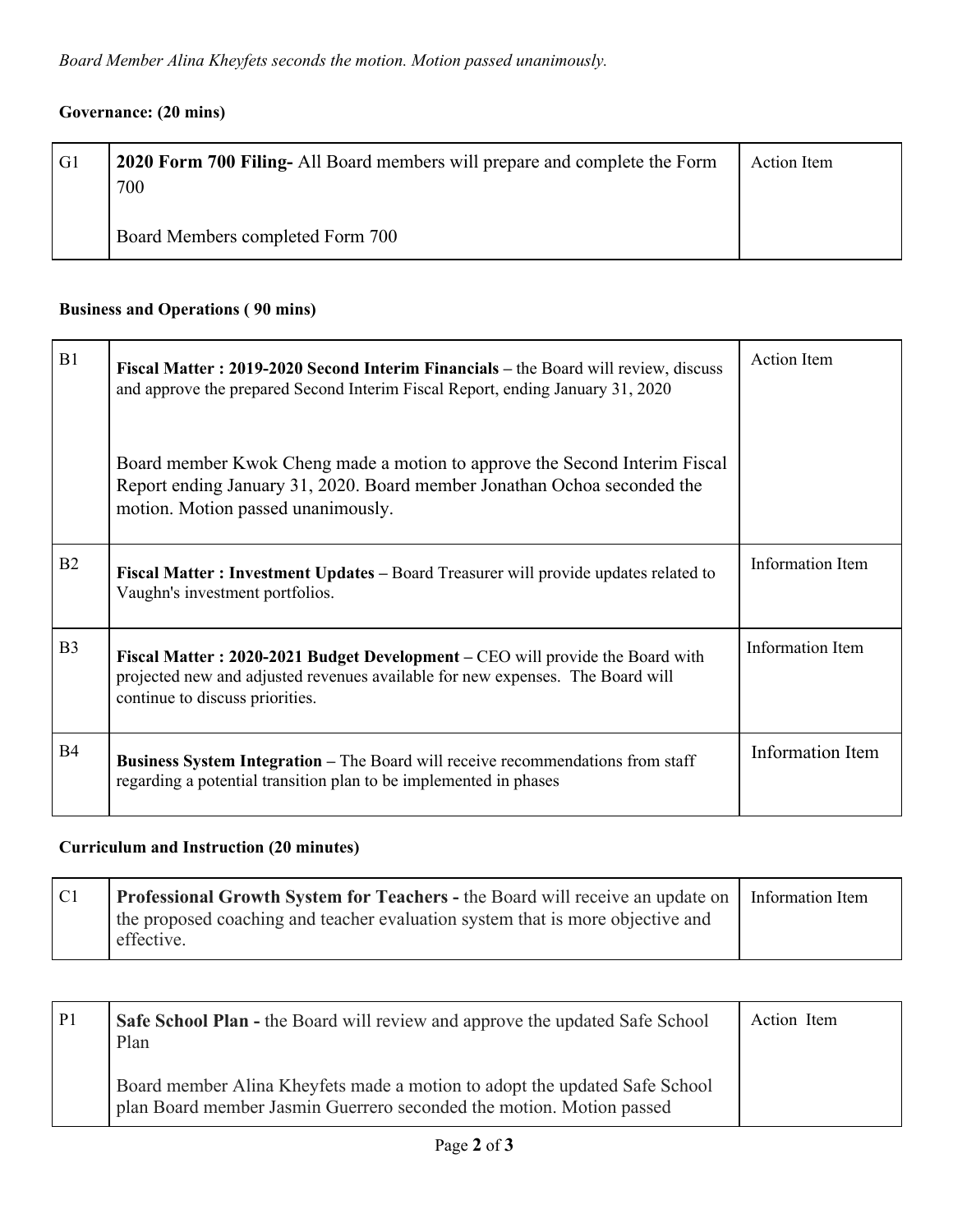## **Governance: (20 mins)**

| G1 | 2020 Form 700 Filing- All Board members will prepare and complete the Form<br>700 | Action Item |
|----|-----------------------------------------------------------------------------------|-------------|
|    | Board Members completed Form 700                                                  |             |

# **Business and Operations ( 90 mins)**

| B1             | Fiscal Matter: 2019-2020 Second Interim Financials – the Board will review, discuss<br>and approve the prepared Second Interim Fiscal Report, ending January 31, 2020                              | <b>Action</b> Item      |
|----------------|----------------------------------------------------------------------------------------------------------------------------------------------------------------------------------------------------|-------------------------|
|                | Board member Kwok Cheng made a motion to approve the Second Interim Fiscal<br>Report ending January 31, 2020. Board member Jonathan Ochoa seconded the<br>motion. Motion passed unanimously.       |                         |
| B2             | <b>Fiscal Matter: Investment Updates – Board Treasurer will provide updates related to</b><br>Vaughn's investment portfolios.                                                                      | Information Item        |
| B <sub>3</sub> | Fiscal Matter: 2020-2021 Budget Development - CEO will provide the Board with<br>projected new and adjusted revenues available for new expenses. The Board will<br>continue to discuss priorities. | <b>Information Item</b> |
| <b>B4</b>      | Business System Integration - The Board will receive recommendations from staff<br>regarding a potential transition plan to be implemented in phases                                               | Information Item        |

## **Curriculum and Instruction (20 minutes)**

| C1 | <b>Professional Growth System for Teachers - the Board will receive an update on   Information Item</b> |  |
|----|---------------------------------------------------------------------------------------------------------|--|
|    | the proposed coaching and teacher evaluation system that is more objective and<br>effective.            |  |
|    |                                                                                                         |  |

| P <sub>1</sub> | <b>Safe School Plan - the Board will review and approve the updated Safe School</b><br>Plan                                                        | Action Item |
|----------------|----------------------------------------------------------------------------------------------------------------------------------------------------|-------------|
|                | Board member Alina Kheyfets made a motion to adopt the updated Safe School<br>plan Board member Jasmin Guerrero seconded the motion. Motion passed |             |